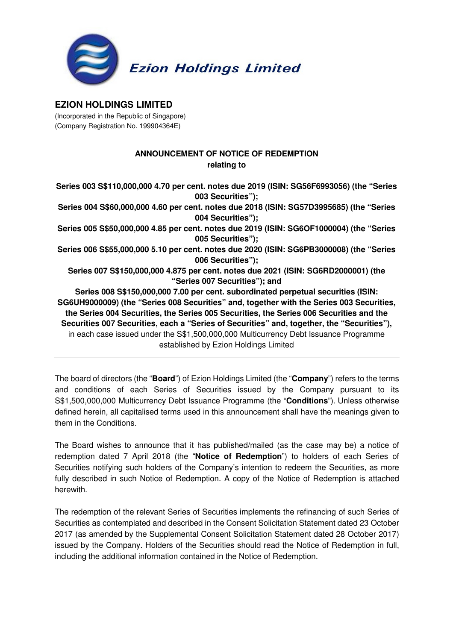

## **EZION HOLDINGS LIMITED**

(Incorporated in the Republic of Singapore) (Company Registration No. 199904364E)

## **ANNOUNCEMENT OF NOTICE OF REDEMPTION relating to**

**Series 003 S\$110,000,000 4.70 per cent. notes due 2019 (ISIN: SG56F6993056) (the "Series 003 Securities"); Series 004 S\$60,000,000 4.60 per cent. notes due 2018 (ISIN: SG57D3995685) (the "Series 004 Securities"); Series 005 S\$50,000,000 4.85 per cent. notes due 2019 (ISIN: SG6OF1000004) (the "Series 005 Securities"); Series 006 S\$55,000,000 5.10 per cent. notes due 2020 (ISIN: SG6PB3000008) (the "Series 006 Securities"); Series 007 S\$150,000,000 4.875 per cent. notes due 2021 (ISIN: SG6RD2000001) (the "Series 007 Securities"); and Series 008 S\$150,000,000 7.00 per cent. subordinated perpetual securities (ISIN: SG6UH9000009) (the "Series 008 Securities" and, together with the Series 003 Securities, the Series 004 Securities, the Series 005 Securities, the Series 006 Securities and the Securities 007 Securities, each a "Series of Securities" and, together, the "Securities"),**  in each case issued under the S\$1,500,000,000 Multicurrency Debt Issuance Programme established by Ezion Holdings Limited

The board of directors (the "**Board**") of Ezion Holdings Limited (the "**Company**") refers to the terms and conditions of each Series of Securities issued by the Company pursuant to its S\$1,500,000,000 Multicurrency Debt Issuance Programme (the "**Conditions**"). Unless otherwise defined herein, all capitalised terms used in this announcement shall have the meanings given to them in the Conditions.

The Board wishes to announce that it has published/mailed (as the case may be) a notice of redemption dated 7 April 2018 (the "**Notice of Redemption**") to holders of each Series of Securities notifying such holders of the Company's intention to redeem the Securities, as more fully described in such Notice of Redemption. A copy of the Notice of Redemption is attached herewith.

The redemption of the relevant Series of Securities implements the refinancing of such Series of Securities as contemplated and described in the Consent Solicitation Statement dated 23 October 2017 (as amended by the Supplemental Consent Solicitation Statement dated 28 October 2017) issued by the Company. Holders of the Securities should read the Notice of Redemption in full, including the additional information contained in the Notice of Redemption.